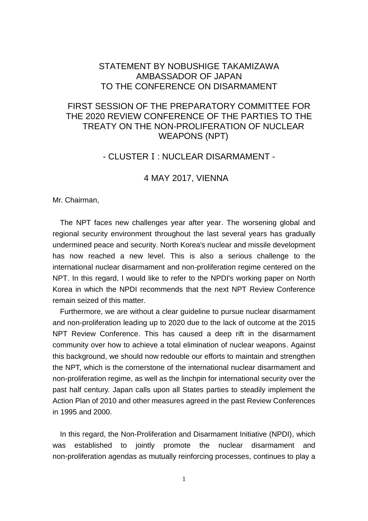## STATEMENT BY NOBUSHIGE TAKAMIZAWA AMBASSADOR OF JAPAN TO THE CONFERENCE ON DISARMAMENT

# FIRST SESSION OF THE PREPARATORY COMMITTEE FOR THE 2020 REVIEW CONFERENCE OF THE PARTIES TO THE TREATY ON THE NON-PROLIFERATION OF NUCLEAR WEAPONS (NPT)

## - CLUSTERⅠ: NUCLEAR DISARMAMENT -

### 4 MAY 2017, VIENNA

Mr. Chairman,

The NPT faces new challenges year after year. The worsening global and regional security environment throughout the last several years has gradually undermined peace and security. North Korea's nuclear and missile development has now reached a new level. This is also a serious challenge to the international nuclear disarmament and non-proliferation regime centered on the NPT. In this regard, I would like to refer to the NPDI's working paper on North Korea in which the NPDI recommends that the next NPT Review Conference remain seized of this matter.

Furthermore, we are without a clear guideline to pursue nuclear disarmament and non-proliferation leading up to 2020 due to the lack of outcome at the 2015 NPT Review Conference. This has caused a deep rift in the disarmament community over how to achieve a total elimination of nuclear weapons. Against this background, we should now redouble our efforts to maintain and strengthen the NPT, which is the cornerstone of the international nuclear disarmament and non-proliferation regime, as well as the linchpin for international security over the past half century. Japan calls upon all States parties to steadily implement the Action Plan of 2010 and other measures agreed in the past Review Conferences in 1995 and 2000.

In this regard, the Non-Proliferation and Disarmament Initiative (NPDI), which was established to jointly promote the nuclear disarmament and non-proliferation agendas as mutually reinforcing processes, continues to play a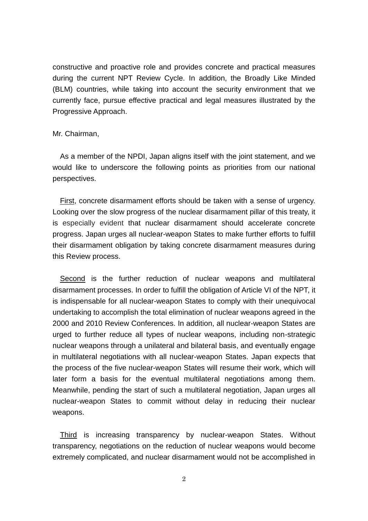constructive and proactive role and provides concrete and practical measures during the current NPT Review Cycle. In addition, the Broadly Like Minded (BLM) countries, while taking into account the security environment that we currently face, pursue effective practical and legal measures illustrated by the Progressive Approach.

#### Mr. Chairman,

As a member of the NPDI, Japan aligns itself with the joint statement, and we would like to underscore the following points as priorities from our national perspectives.

First, concrete disarmament efforts should be taken with a sense of urgency. Looking over the slow progress of the nuclear disarmament pillar of this treaty, it is especially evident that nuclear disarmament should accelerate concrete progress. Japan urges all nuclear-weapon States to make further efforts to fulfill their disarmament obligation by taking concrete disarmament measures during this Review process.

Second is the further reduction of nuclear weapons and multilateral disarmament processes. In order to fulfill the obligation of Article VI of the NPT, it is indispensable for all nuclear-weapon States to comply with their unequivocal undertaking to accomplish the total elimination of nuclear weapons agreed in the 2000 and 2010 Review Conferences. In addition, all nuclear-weapon States are urged to further reduce all types of nuclear weapons, including non-strategic nuclear weapons through a unilateral and bilateral basis, and eventually engage in multilateral negotiations with all nuclear-weapon States. Japan expects that the process of the five nuclear-weapon States will resume their work, which will later form a basis for the eventual multilateral negotiations among them. Meanwhile, pending the start of such a multilateral negotiation, Japan urges all nuclear-weapon States to commit without delay in reducing their nuclear weapons.

Third is increasing transparency by nuclear-weapon States. Without transparency, negotiations on the reduction of nuclear weapons would become extremely complicated, and nuclear disarmament would not be accomplished in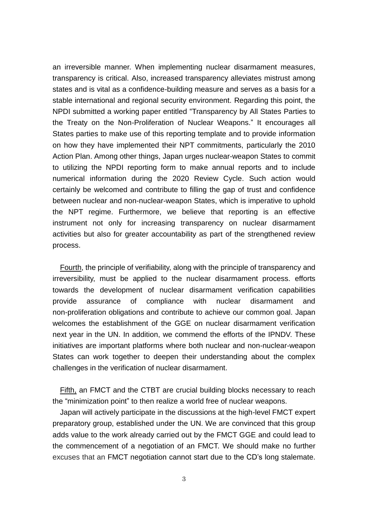an irreversible manner. When implementing nuclear disarmament measures, transparency is critical. Also, increased transparency alleviates mistrust among states and is vital as a confidence-building measure and serves as a basis for a stable international and regional security environment. Regarding this point, the NPDI submitted a working paper entitled "Transparency by All States Parties to the Treaty on the Non-Proliferation of Nuclear Weapons." It encourages all States parties to make use of this reporting template and to provide information on how they have implemented their NPT commitments, particularly the 2010 Action Plan. Among other things, Japan urges nuclear-weapon States to commit to utilizing the NPDI reporting form to make annual reports and to include numerical information during the 2020 Review Cycle. Such action would certainly be welcomed and contribute to filling the gap of trust and confidence between nuclear and non-nuclear-weapon States, which is imperative to uphold the NPT regime. Furthermore, we believe that reporting is an effective instrument not only for increasing transparency on nuclear disarmament activities but also for greater accountability as part of the strengthened review process.

Fourth, the principle of verifiability, along with the principle of transparency and irreversibility, must be applied to the nuclear disarmament process. efforts towards the development of nuclear disarmament verification capabilities provide assurance of compliance with nuclear disarmament and non-proliferation obligations and contribute to achieve our common goal. Japan welcomes the establishment of the GGE on nuclear disarmament verification next year in the UN. In addition, we commend the efforts of the IPNDV. These initiatives are important platforms where both nuclear and non-nuclear-weapon States can work together to deepen their understanding about the complex challenges in the verification of nuclear disarmament.

Fifth, an FMCT and the CTBT are crucial building blocks necessary to reach the "minimization point" to then realize a world free of nuclear weapons.

Japan will actively participate in the discussions at the high-level FMCT expert preparatory group, established under the UN. We are convinced that this group adds value to the work already carried out by the FMCT GGE and could lead to the commencement of a negotiation of an FMCT. We should make no further excuses that an FMCT negotiation cannot start due to the CD's long stalemate.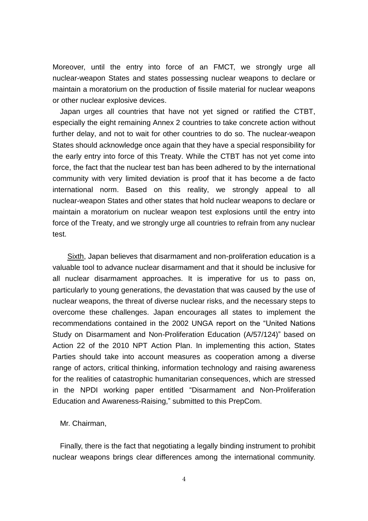Moreover, until the entry into force of an FMCT, we strongly urge all nuclear-weapon States and states possessing nuclear weapons to declare or maintain a moratorium on the production of fissile material for nuclear weapons or other nuclear explosive devices.

Japan urges all countries that have not yet signed or ratified the CTBT, especially the eight remaining Annex 2 countries to take concrete action without further delay, and not to wait for other countries to do so. The nuclear-weapon States should acknowledge once again that they have a special responsibility for the early entry into force of this Treaty. While the CTBT has not yet come into force, the fact that the nuclear test ban has been adhered to by the international community with very limited deviation is proof that it has become a de facto international norm. Based on this reality, we strongly appeal to all nuclear-weapon States and other states that hold nuclear weapons to declare or maintain a moratorium on nuclear weapon test explosions until the entry into force of the Treaty, and we strongly urge all countries to refrain from any nuclear test.

Sixth, Japan believes that disarmament and non-proliferation education is a valuable tool to advance nuclear disarmament and that it should be inclusive for all nuclear disarmament approaches. It is imperative for us to pass on, particularly to young generations, the devastation that was caused by the use of nuclear weapons, the threat of diverse nuclear risks, and the necessary steps to overcome these challenges. Japan encourages all states to implement the recommendations contained in the 2002 UNGA report on the "United Nations Study on Disarmament and Non-Proliferation Education (A/57/124)" based on Action 22 of the 2010 NPT Action Plan. In implementing this action, States Parties should take into account measures as cooperation among a diverse range of actors, critical thinking, information technology and raising awareness for the realities of catastrophic humanitarian consequences, which are stressed in the NPDI working paper entitled "Disarmament and Non-Proliferation Education and Awareness-Raising," submitted to this PrepCom.

#### Mr. Chairman,

Finally, there is the fact that negotiating a legally binding instrument to prohibit nuclear weapons brings clear differences among the international community.